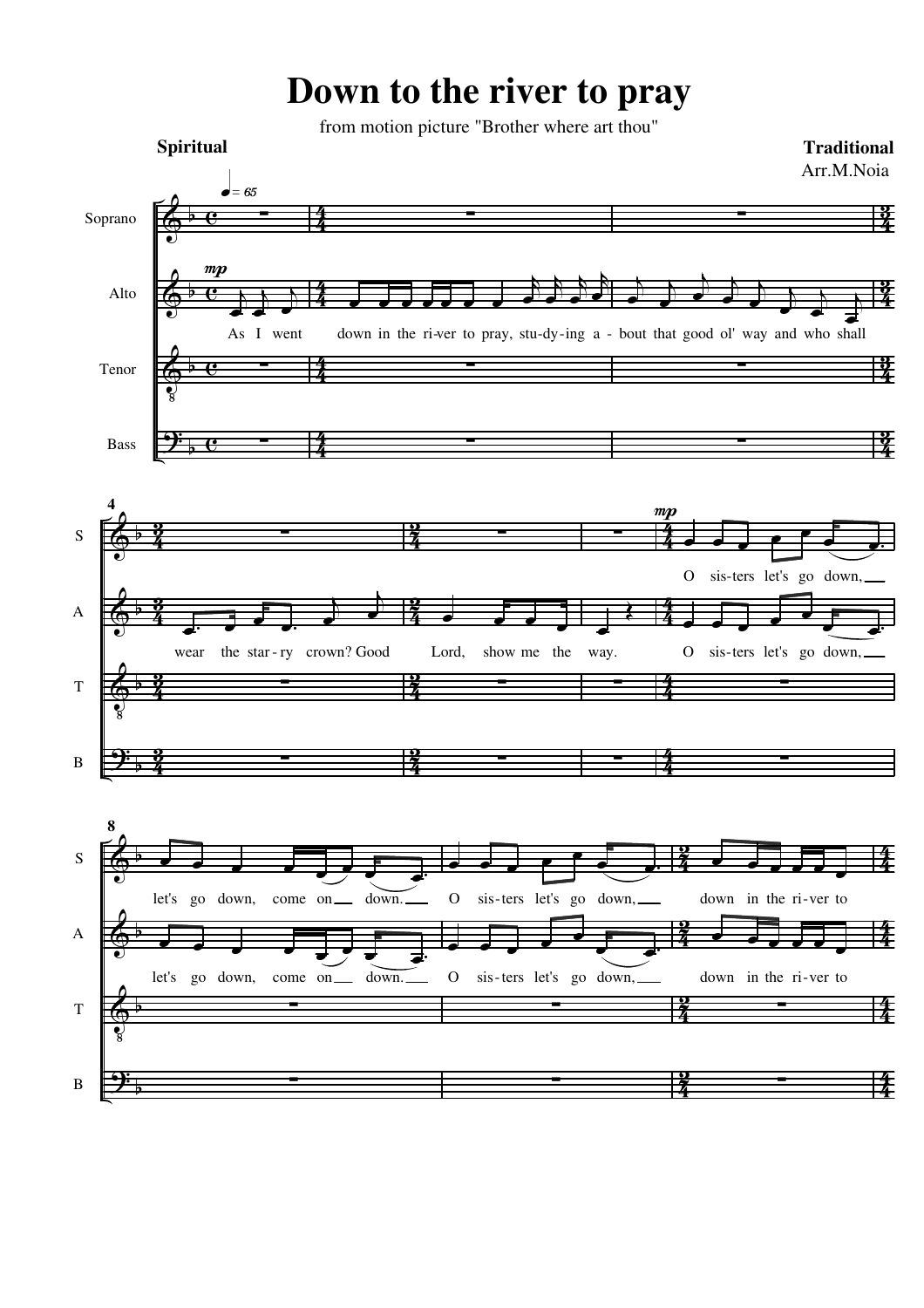## **Down to the river to pray**

from motion picture "Brother where art thou"

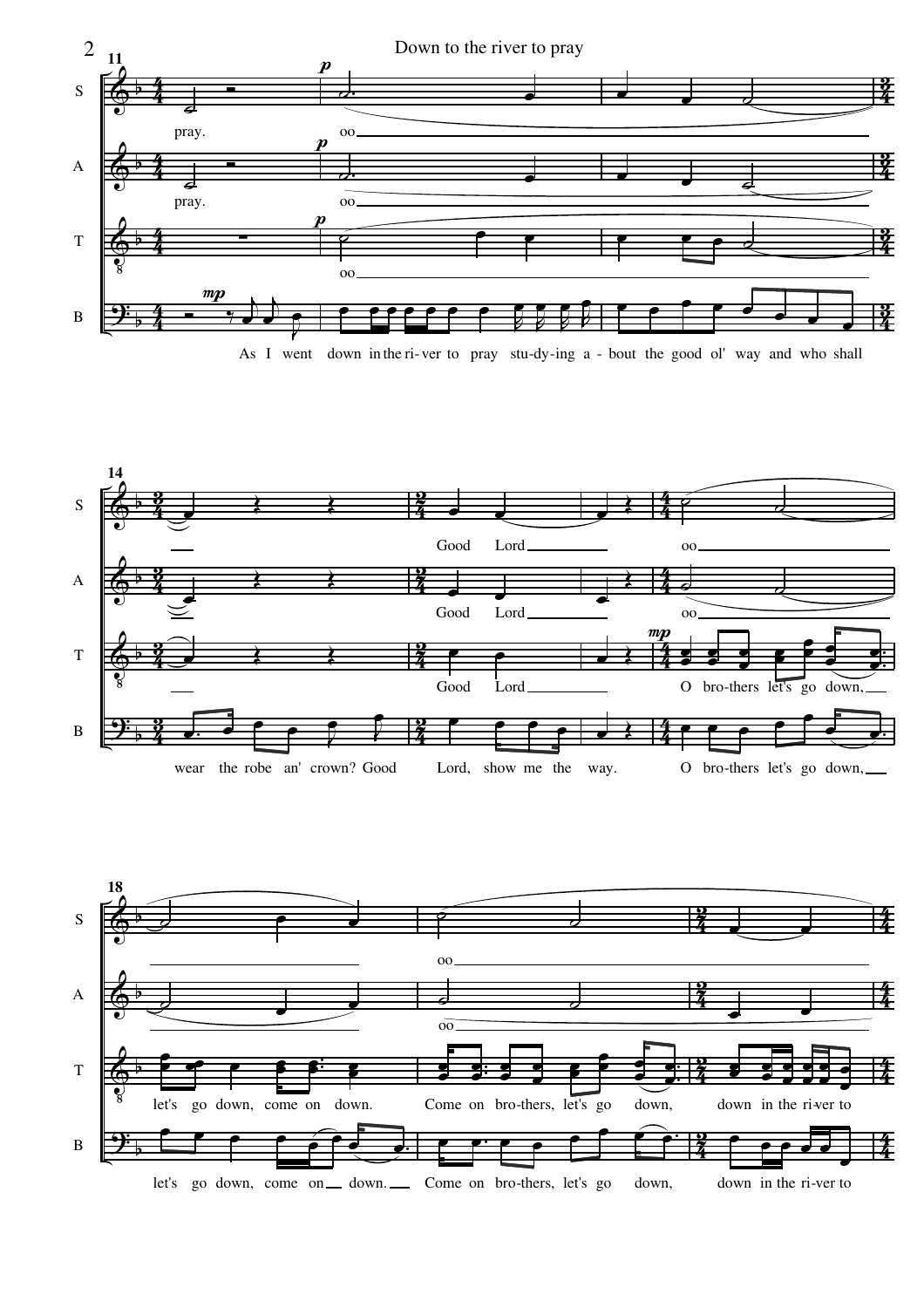

As I went down in the ri-ver to pray stu-dy-ing a - bout the good ol' way and who shall



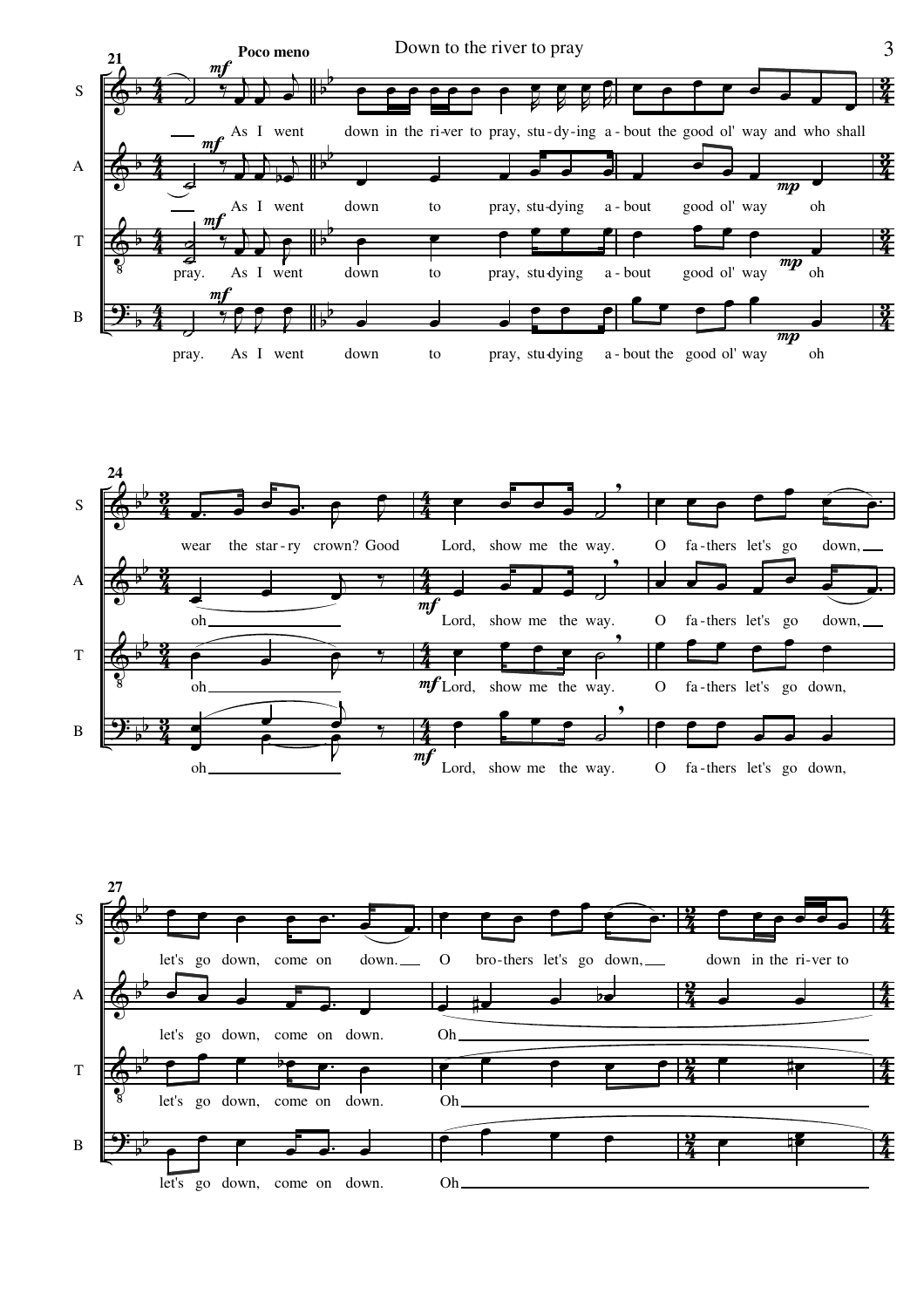



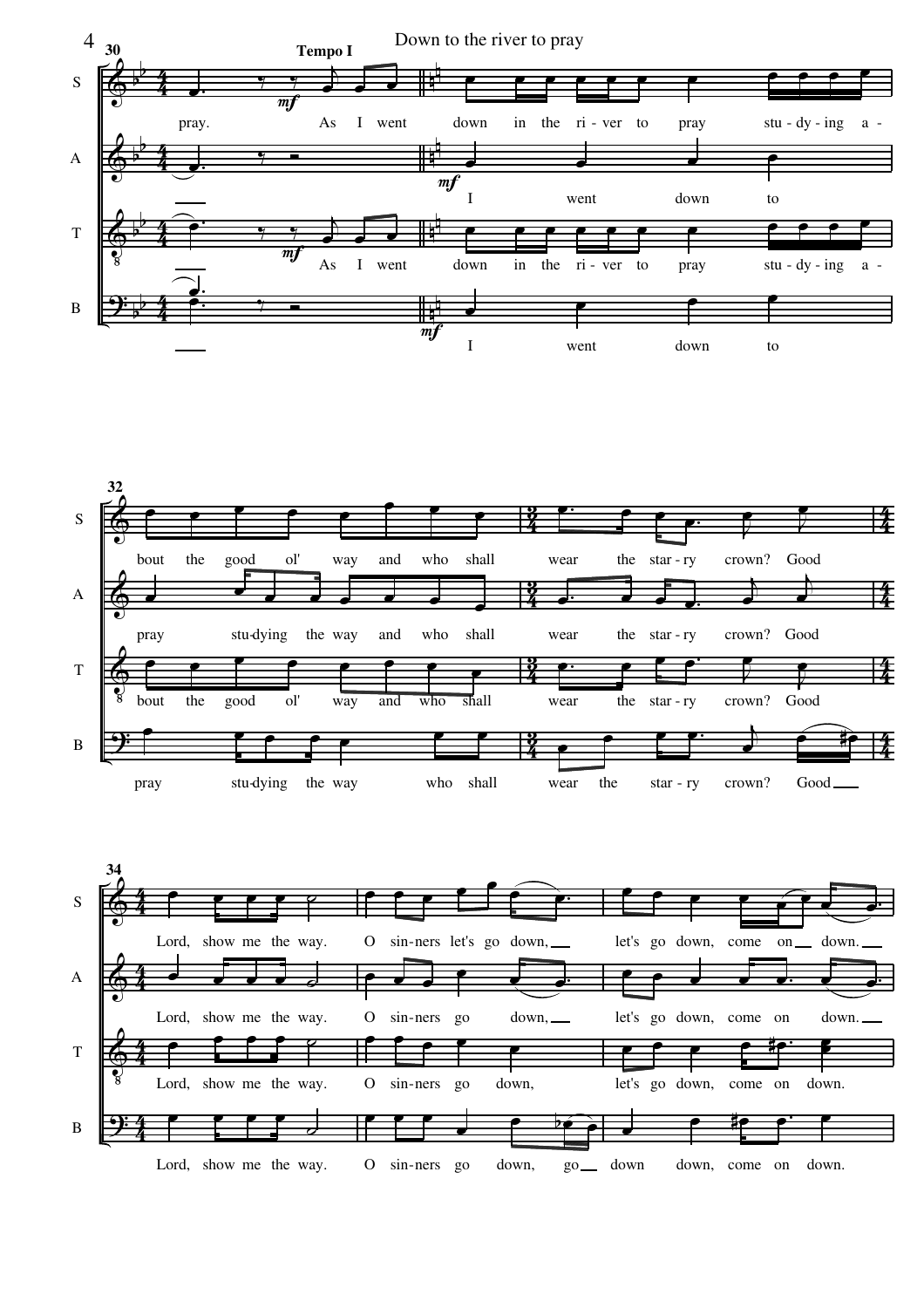